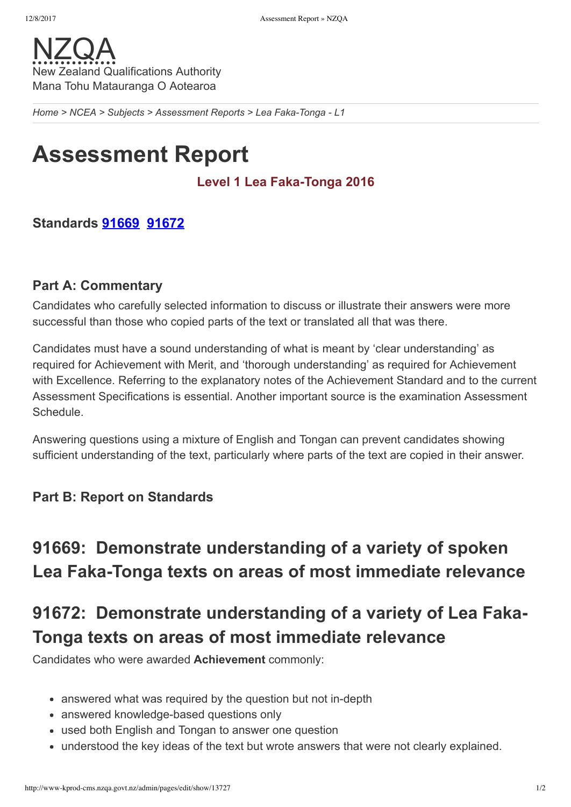

*[Home](http://www-kprod-cms.nzqa.govt.nz/home) > [NCEA](http://www-kprod-cms.nzqa.govt.nz/ncea/) > [Subjects](http://www-kprod-cms.nzqa.govt.nz/ncea/subjects/) > [Assessment](http://www-kprod-cms.nzqa.govt.nz/ncea/subjects/assessment-reports/) Reports > Lea FakaTonga L1*

# **Assessment Report**

#### Level 1 Lea Faka-Tonga 2016

### **Standards [91669](http://www-kprod-cms.nzqa.govt.nz/ncea/subjects/assessment-reports/tongan-l1/?stage=Stage#91669) [91672](http://www-kprod-cms.nzqa.govt.nz/ncea/subjects/assessment-reports/tongan-l1/?stage=Stage#91672)**

#### **Part A: Commentary**

Candidates who carefully selected information to discuss or illustrate their answers were more successful than those who copied parts of the text or translated all that was there.

Candidates must have a sound understanding of what is meant by 'clear understanding' as required for Achievement with Merit, and 'thorough understanding' as required for Achievement with Excellence. Referring to the explanatory notes of the Achievement Standard and to the current Assessment Specifications is essential. Another important source is the examination Assessment Schedule.

Answering questions using a mixture of English and Tongan can prevent candidates showing sufficient understanding of the text, particularly where parts of the text are copied in their answer.

### **Part B: Report on Standards**

# **91669: Demonstrate understanding of a variety of spoken** Lea Faka-Tonga texts on areas of most immediate relevance

# **91672: Demonstrate understanding of a variety of Lea Faka-Tonga texts on areas of most immediate relevance**

Candidates who were awarded **Achievement** commonly:

- answered what was required by the question but not in-depth
- answered knowledge-based questions only
- used both English and Tongan to answer one question
- understood the key ideas of the text but wrote answers that were not clearly explained.